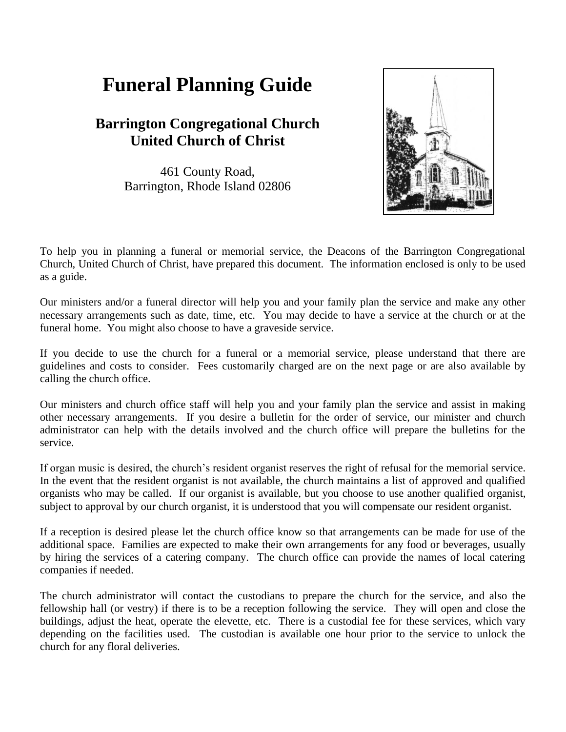## **Funeral Planning Guide**

## **Barrington Congregational Church United Church of Christ**

461 County Road, Barrington, Rhode Island 02806



To help you in planning a funeral or memorial service, the Deacons of the Barrington Congregational Church, United Church of Christ, have prepared this document. The information enclosed is only to be used as a guide.

Our ministers and/or a funeral director will help you and your family plan the service and make any other necessary arrangements such as date, time, etc. You may decide to have a service at the church or at the funeral home. You might also choose to have a graveside service.

If you decide to use the church for a funeral or a memorial service, please understand that there are guidelines and costs to consider. Fees customarily charged are on the next page or are also available by calling the church office.

Our ministers and church office staff will help you and your family plan the service and assist in making other necessary arrangements. If you desire a bulletin for the order of service, our minister and church administrator can help with the details involved and the church office will prepare the bulletins for the service.

If organ music is desired, the church's resident organist reserves the right of refusal for the memorial service. In the event that the resident organist is not available, the church maintains a list of approved and qualified organists who may be called. If our organist is available, but you choose to use another qualified organist, subject to approval by our church organist, it is understood that you will compensate our resident organist.

If a reception is desired please let the church office know so that arrangements can be made for use of the additional space. Families are expected to make their own arrangements for any food or beverages, usually by hiring the services of a catering company. The church office can provide the names of local catering companies if needed.

The church administrator will contact the custodians to prepare the church for the service, and also the fellowship hall (or vestry) if there is to be a reception following the service. They will open and close the buildings, adjust the heat, operate the elevette, etc. There is a custodial fee for these services, which vary depending on the facilities used. The custodian is available one hour prior to the service to unlock the church for any floral deliveries.